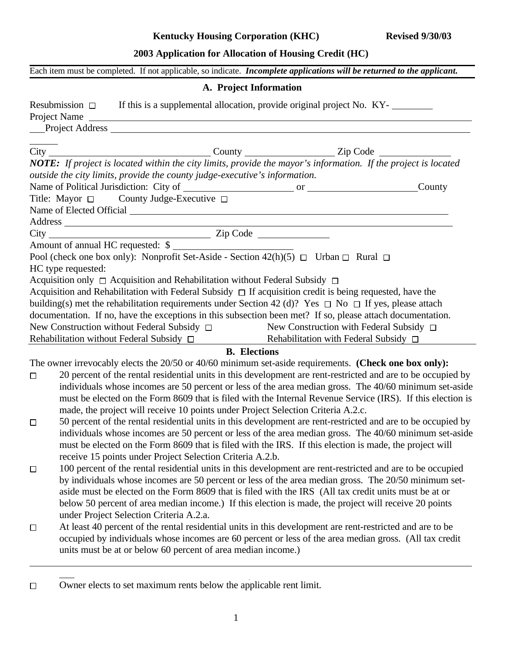#### **Kentucky Housing Corporation (KHC) Revised 9/30/03**

## **2003 Application for Allocation of Housing Credit (HC)**

|  | Each item must be completed. If not applicable, so indicate. <i>Incomplete applications will be returned to the applicant</i> . |
|--|---------------------------------------------------------------------------------------------------------------------------------|
|  |                                                                                                                                 |

#### **A. Project Information**

|        |                    | Resubmission $\Box$ If this is a supplemental allocation, provide original project No. KY-                                                     |                                              |  |
|--------|--------------------|------------------------------------------------------------------------------------------------------------------------------------------------|----------------------------------------------|--|
|        |                    | Project Name<br>Project Address                                                                                                                |                                              |  |
|        |                    |                                                                                                                                                |                                              |  |
|        |                    |                                                                                                                                                |                                              |  |
|        |                    | <b>NOTE:</b> If project is located within the city limits, provide the mayor's information. If the project is located                          |                                              |  |
|        |                    | outside the city limits, provide the county judge-executive's information.                                                                     |                                              |  |
|        |                    |                                                                                                                                                |                                              |  |
|        |                    | Title: Mayor □ County Judge-Executive □                                                                                                        |                                              |  |
|        |                    |                                                                                                                                                |                                              |  |
|        |                    |                                                                                                                                                |                                              |  |
|        |                    |                                                                                                                                                |                                              |  |
|        |                    |                                                                                                                                                |                                              |  |
|        |                    |                                                                                                                                                |                                              |  |
|        | HC type requested: |                                                                                                                                                |                                              |  |
|        |                    | Acquisition only □ Acquisition and Rehabilitation without Federal Subsidy □                                                                    |                                              |  |
|        |                    | Acquisition and Rehabilitation with Federal Subsidy $\Box$ If acquisition credit is being requested, have the                                  |                                              |  |
|        |                    | building(s) met the rehabilitation requirements under Section 42 (d)? Yes $\Box$ No $\Box$ If yes, please attach                               |                                              |  |
|        |                    | documentation. If no, have the exceptions in this subsection been met? If so, please attach documentation.                                     |                                              |  |
|        |                    | New Construction without Federal Subsidy $\Box$<br>Rehabilitation without Federal Subsidy $\Box$<br>Rehabilitation with Federal Subsidy $\Box$ | New Construction with Federal Subsidy $\Box$ |  |
|        |                    |                                                                                                                                                |                                              |  |
|        |                    |                                                                                                                                                | <b>B.</b> Elections                          |  |
|        |                    | The owner irrevocably elects the 20/50 or 40/60 minimum set-aside requirements. (Check one box only):                                          |                                              |  |
| $\Box$ |                    | 20 percent of the rental residential units in this development are rent-restricted and are to be occupied by                                   |                                              |  |
|        |                    | individuals whose incomes are 50 percent or less of the area median gross. The 40/60 minimum set-aside                                         |                                              |  |
|        |                    | must be elected on the Form 8609 that is filed with the Internal Revenue Service (IRS). If this election is                                    |                                              |  |
|        |                    | made, the project will receive 10 points under Project Selection Criteria A.2.c.                                                               |                                              |  |
| $\Box$ |                    | 50 percent of the rental residential units in this development are rent-restricted and are to be occupied by                                   |                                              |  |
|        |                    | individuals whose incomes are 50 percent or less of the area median gross. The 40/60 minimum set-aside                                         |                                              |  |
|        |                    | must be elected on the Form 8609 that is filed with the IRS. If this election is made, the project will                                        |                                              |  |
|        |                    | receive 15 points under Project Selection Criteria A.2.b.                                                                                      |                                              |  |
| $\Box$ |                    | 100 percent of the rental residential units in this development are rent-restricted and are to be occupied                                     |                                              |  |
|        |                    | by individuals whose incomes are 50 percent or less of the area median gross. The 20/50 minimum set-                                           |                                              |  |
|        |                    | aside must be elected on the Form 8609 that is filed with the IRS (All tax credit units must be at or                                          |                                              |  |
|        |                    | below 50 percent of area median income.) If this election is made, the project will receive 20 points                                          |                                              |  |
|        |                    | under Project Selection Criteria A.2.a.                                                                                                        |                                              |  |

- At least 40 percent of the rental residential units in this development are rent-restricted and are to be  $\Box$ occupied by individuals whose incomes are 60 percent or less of the area median gross. (All tax credit units must be at or below 60 percent of area median income.)
- Owner elects to set maximum rents below the applicable rent limit. $\Box$

 $\overline{a}$ 

 $\overline{a}$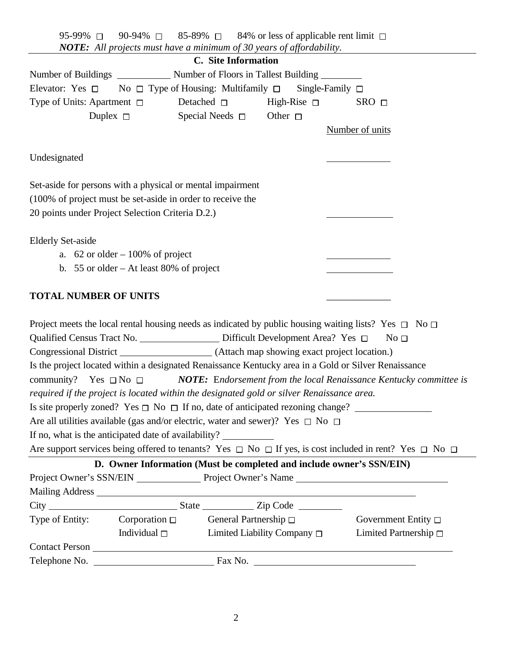|  | 95-99% $\Box$ 90-94% $\Box$ 85-89% $\Box$ 84% or less of applicable rent limit $\Box$ |
|--|---------------------------------------------------------------------------------------|
|  | <b>NOTE:</b> All projects must have a minimum of 30 years of affordability.           |

|                                                                                                                                                                                                                                      |                                          | C. Site Information                                                  |                         |                            |
|--------------------------------------------------------------------------------------------------------------------------------------------------------------------------------------------------------------------------------------|------------------------------------------|----------------------------------------------------------------------|-------------------------|----------------------------|
|                                                                                                                                                                                                                                      |                                          |                                                                      |                         |                            |
| Elevator: Yes $\square$ No $\square$ Type of Housing: Multifamily $\square$                                                                                                                                                          |                                          |                                                                      | Single-Family $\square$ |                            |
| Type of Units: Apartment $\Box$                                                                                                                                                                                                      |                                          | Detached $\square$ High-Rise $\square$                               | $SRO$ $\Box$            |                            |
| Duplex $\Box$                                                                                                                                                                                                                        |                                          | Special Needs $\square$ Other $\square$                              |                         |                            |
|                                                                                                                                                                                                                                      |                                          |                                                                      | Number of units         |                            |
| Undesignated                                                                                                                                                                                                                         |                                          |                                                                      |                         |                            |
|                                                                                                                                                                                                                                      |                                          |                                                                      |                         |                            |
| Set-aside for persons with a physical or mental impairment                                                                                                                                                                           |                                          |                                                                      |                         |                            |
| (100% of project must be set-aside in order to receive the                                                                                                                                                                           |                                          |                                                                      |                         |                            |
| 20 points under Project Selection Criteria D.2.)                                                                                                                                                                                     |                                          |                                                                      |                         |                            |
| <b>Elderly Set-aside</b>                                                                                                                                                                                                             |                                          |                                                                      |                         |                            |
|                                                                                                                                                                                                                                      | a. $62$ or older $-100\%$ of project     |                                                                      |                         |                            |
|                                                                                                                                                                                                                                      | b. 55 or older – At least 80% of project |                                                                      |                         |                            |
| <b>TOTAL NUMBER OF UNITS</b>                                                                                                                                                                                                         |                                          |                                                                      |                         |                            |
| Project meets the local rental housing needs as indicated by public housing waiting lists? Yes $\Box$ No $\Box$                                                                                                                      |                                          |                                                                      |                         |                            |
| Qualified Census Tract No. _____________________ Difficult Development Area? Yes □                                                                                                                                                   |                                          |                                                                      |                         | No <sub>1</sub>            |
|                                                                                                                                                                                                                                      |                                          |                                                                      |                         |                            |
| Is the project located within a designated Renaissance Kentucky area in a Gold or Silver Renaissance                                                                                                                                 |                                          |                                                                      |                         |                            |
| community? Yes $\Box$ No $\Box$                                                                                                                                                                                                      |                                          | NOTE: Endorsement from the local Renaissance Kentucky committee is   |                         |                            |
| required if the project is located within the designated gold or silver Renaissance area.                                                                                                                                            |                                          |                                                                      |                         |                            |
|                                                                                                                                                                                                                                      |                                          |                                                                      |                         |                            |
| Are all utilities available (gas and/or electric, water and sewer)? Yes $\Box$ No $\Box$                                                                                                                                             |                                          |                                                                      |                         |                            |
| If no, what is the anticipated date of availability?                                                                                                                                                                                 |                                          |                                                                      |                         |                            |
| Are support services being offered to tenants? Yes $\Box$ No $\Box$ If yes, is cost included in rent? Yes $\Box$ No $\Box$                                                                                                           |                                          |                                                                      |                         |                            |
|                                                                                                                                                                                                                                      |                                          | D. Owner Information (Must be completed and include owner's SSN/EIN) |                         |                            |
| Project Owner's SSN/EIN Project Owner's Name                                                                                                                                                                                         |                                          |                                                                      |                         |                            |
| Mailing Address <u>New York: William Barbara and State and State and State and State and State and State and State and State and State and State and State and State and State and State and State and State and State and State</u> |                                          |                                                                      |                         |                            |
|                                                                                                                                                                                                                                      |                                          |                                                                      |                         |                            |
| Type of Entity: Corporation $\Box$ General Partnership $\Box$                                                                                                                                                                        |                                          |                                                                      |                         | Government Entity $\Box$   |
|                                                                                                                                                                                                                                      |                                          | Individual $\square$ Limited Liability Company $\square$             |                         | Limited Partnership $\Box$ |
|                                                                                                                                                                                                                                      |                                          |                                                                      |                         |                            |
|                                                                                                                                                                                                                                      |                                          |                                                                      |                         |                            |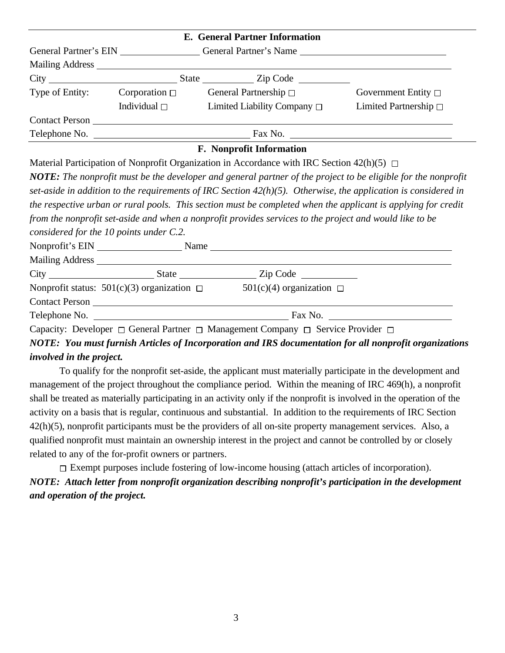| <b>E.</b> General Partner Information |                                              |                                                                                                                                                                                                                                |                               |  |  |  |  |
|---------------------------------------|----------------------------------------------|--------------------------------------------------------------------------------------------------------------------------------------------------------------------------------------------------------------------------------|-------------------------------|--|--|--|--|
|                                       | General Partner's EIN General Partner's Name |                                                                                                                                                                                                                                |                               |  |  |  |  |
|                                       |                                              |                                                                                                                                                                                                                                |                               |  |  |  |  |
|                                       |                                              |                                                                                                                                                                                                                                |                               |  |  |  |  |
| Type of Entity:                       | Corporation $\Box$                           | General Partnership $\Box$                                                                                                                                                                                                     | Government Entity $\Box$      |  |  |  |  |
|                                       | Individual $\square$                         | Limited Liability Company $\Box$                                                                                                                                                                                               | Limited Partnership $\square$ |  |  |  |  |
|                                       |                                              | Contact Person experience of the state of the state of the state of the state of the state of the state of the state of the state of the state of the state of the state of the state of the state of the state of the state o |                               |  |  |  |  |
|                                       |                                              |                                                                                                                                                                                                                                | Fax No.                       |  |  |  |  |

#### **F. Nonprofit Information**

Material Participation of Nonprofit Organization in Accordance with IRC Section 42(h)(5)  $\Box$ 

*NOTE: The nonprofit must be the developer and general partner of the project to be eligible for the nonprofit set-aside in addition to the requirements of IRC Section 42(h)(5). Otherwise, the application is considered in the respective urban or rural pools. This section must be completed when the applicant is applying for credit from the nonprofit set-aside and when a nonprofit provides services to the project and would like to be considered for the 10 points under C.2.* Nonprofit's EIN Name Name Mailing Address City State Zip Code Nonprofit status:  $501(c)(3)$  organization  $\Box$   $501(c)(4)$  organization  $\Box$ Contact Person Telephone No. Fax No.

Capacity: Developer  $\Box$  General Partner  $\Box$  Management Company  $\Box$  Service Provider  $\Box$ 

*NOTE: You must furnish Articles of Incorporation and IRS documentation for all nonprofit organizations involved in the project.*

To qualify for the nonprofit set-aside, the applicant must materially participate in the development and management of the project throughout the compliance period. Within the meaning of IRC 469(h), a nonprofit shall be treated as materially participating in an activity only if the nonprofit is involved in the operation of the activity on a basis that is regular, continuous and substantial. In addition to the requirements of IRC Section 42(h)(5), nonprofit participants must be the providers of all on-site property management services. Also, a qualified nonprofit must maintain an ownership interest in the project and cannot be controlled by or closely related to any of the for-profit owners or partners.

 $\square$  Exempt purposes include fostering of low-income housing (attach articles of incorporation). *NOTE: Attach letter from nonprofit organization describing nonprofit's participation in the development and operation of the project.*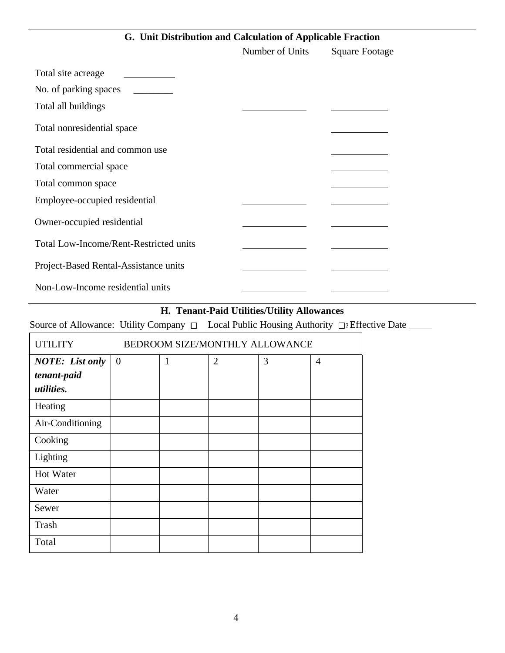## **G. Unit Distribution and Calculation of Applicable Fraction**

|                                               | Number of Units | <b>Square Footage</b> |
|-----------------------------------------------|-----------------|-----------------------|
| Total site acreage                            |                 |                       |
| No. of parking spaces                         |                 |                       |
| Total all buildings                           |                 |                       |
| Total nonresidential space                    |                 |                       |
| Total residential and common use              |                 |                       |
| Total commercial space                        |                 |                       |
| Total common space                            |                 |                       |
| Employee-occupied residential                 |                 |                       |
| Owner-occupied residential                    |                 |                       |
| <b>Total Low-Income/Rent-Restricted units</b> |                 |                       |
| Project-Based Rental-Assistance units         |                 |                       |
| Non-Low-Income residential units              |                 |                       |

# **H. Tenant-Paid Utilities/Utility Allowances**

Source of Allowance: Utility Company  $\Box$  Local Public Housing Authority  $\Box$ ? Effective Date \_\_\_\_\_

| <b>UTILITY</b>         | BEDROOM SIZE/MONTHLY ALLOWANCE |   |                |   |                |
|------------------------|--------------------------------|---|----------------|---|----------------|
| <b>NOTE:</b> List only | $\theta$                       | 1 | $\overline{2}$ | 3 | $\overline{4}$ |
| tenant-paid            |                                |   |                |   |                |
| <i>utilities.</i>      |                                |   |                |   |                |
| Heating                |                                |   |                |   |                |
| Air-Conditioning       |                                |   |                |   |                |
| Cooking                |                                |   |                |   |                |
| Lighting               |                                |   |                |   |                |
| Hot Water              |                                |   |                |   |                |
| Water                  |                                |   |                |   |                |
| Sewer                  |                                |   |                |   |                |
| Trash                  |                                |   |                |   |                |
| Total                  |                                |   |                |   |                |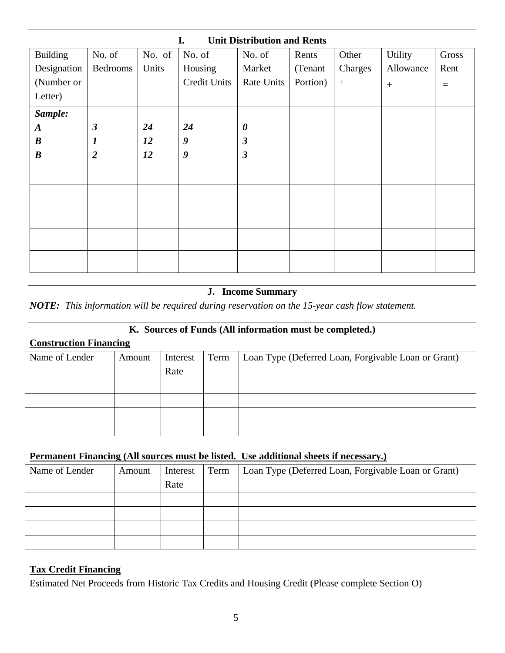| I.<br><b>Unit Distribution and Rents</b> |                      |        |                     |                       |          |                  |                |       |
|------------------------------------------|----------------------|--------|---------------------|-----------------------|----------|------------------|----------------|-------|
| <b>Building</b>                          | No. of               | No. of | No. of              | No. of                | Rents    | Other            | <b>Utility</b> | Gross |
| Designation                              | Bedrooms             | Units  | Housing             | Market                | (Tenant  | Charges          | Allowance      | Rent  |
| (Number or                               |                      |        | <b>Credit Units</b> | Rate Units            | Portion) | $\boldsymbol{+}$ | $^{+}$         | $=$   |
| Letter)                                  |                      |        |                     |                       |          |                  |                |       |
| Sample:                                  |                      |        |                     |                       |          |                  |                |       |
| $\boldsymbol{A}$                         | $\boldsymbol{\beta}$ | 24     | 24                  | $\boldsymbol{\theta}$ |          |                  |                |       |
| $\boldsymbol{B}$                         | $\boldsymbol{l}$     | 12     | 9                   | $\boldsymbol{\beta}$  |          |                  |                |       |
| $\boldsymbol{B}$                         | $\overline{2}$       | 12     | 9                   | $\boldsymbol{\beta}$  |          |                  |                |       |
|                                          |                      |        |                     |                       |          |                  |                |       |
|                                          |                      |        |                     |                       |          |                  |                |       |
|                                          |                      |        |                     |                       |          |                  |                |       |
|                                          |                      |        |                     |                       |          |                  |                |       |
|                                          |                      |        |                     |                       |          |                  |                |       |

## **J. Income Summary**

*NOTE: This information will be required during reservation on the 15-year cash flow statement.*

### **K. Sources of Funds (All information must be completed.)**

### **Construction Financing**

| Name of Lender | Amount | Interest | Term | Loan Type (Deferred Loan, Forgivable Loan or Grant) |
|----------------|--------|----------|------|-----------------------------------------------------|
|                |        | Rate     |      |                                                     |
|                |        |          |      |                                                     |
|                |        |          |      |                                                     |
|                |        |          |      |                                                     |
|                |        |          |      |                                                     |

#### **Permanent Financing (All sources must be listed. Use additional sheets if necessary.)**

| Name of Lender | Amount | Interest | Term | Loan Type (Deferred Loan, Forgivable Loan or Grant) |
|----------------|--------|----------|------|-----------------------------------------------------|
|                |        | Rate     |      |                                                     |
|                |        |          |      |                                                     |
|                |        |          |      |                                                     |
|                |        |          |      |                                                     |
|                |        |          |      |                                                     |

## **Tax Credit Financing**

Estimated Net Proceeds from Historic Tax Credits and Housing Credit (Please complete Section O)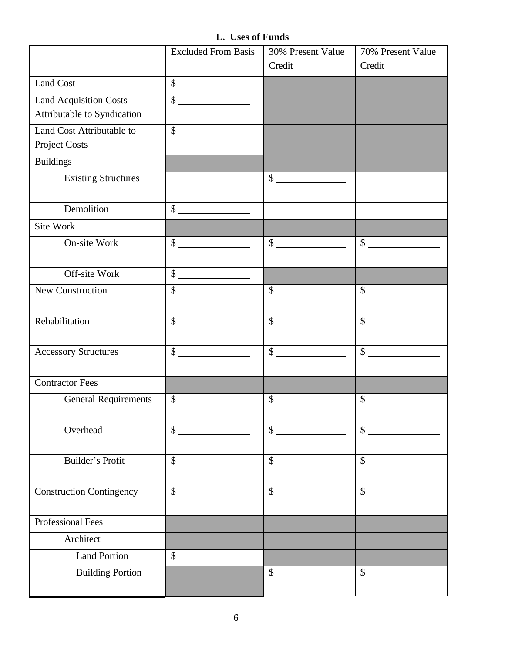|                                 | L. Uses of Funds            |                       |                       |
|---------------------------------|-----------------------------|-----------------------|-----------------------|
|                                 | <b>Excluded From Basis</b>  | 30% Present Value     | 70% Present Value     |
|                                 |                             | Credit                | Credit                |
| <b>Land Cost</b>                | $\overline{\text{S}}$       |                       |                       |
| <b>Land Acquisition Costs</b>   | $\overline{\$}$             |                       |                       |
| Attributable to Syndication     |                             |                       |                       |
| Land Cost Attributable to       | $\frac{1}{2}$               |                       |                       |
| Project Costs                   |                             |                       |                       |
| <b>Buildings</b>                |                             |                       |                       |
| <b>Existing Structures</b>      |                             | $\sim$                |                       |
| Demolition                      | $\overline{\text{S}}$       |                       |                       |
| Site Work                       |                             |                       |                       |
| On-site Work                    | $\frac{\text{S}}{\text{S}}$ | $\frac{\sqrt{2}}{2}$  | $\sim$                |
|                                 |                             |                       |                       |
| Off-site Work                   | $\overline{\$}$             |                       |                       |
| New Construction                | $\overline{\text{S}}$       |                       | $\sim$                |
| Rehabilitation                  | $\frac{1}{2}$               | $\overline{\text{S}}$ | $\overline{\text{S}}$ |
| <b>Accessory Structures</b>     | $\overline{\$}$             | $\overline{\text{S}}$ | $\frac{1}{2}$         |
| <b>Contractor Fees</b>          |                             |                       |                       |
| <b>General Requirements</b>     | \$                          | \$                    | \$                    |
| Overhead                        | $\frac{1}{2}$               | $\overline{\$}$       | $\frac{1}{2}$         |
|                                 |                             |                       |                       |
| Builder's Profit                | $\frac{1}{2}$               | $\sim$                | $\frac{1}{2}$         |
| <b>Construction Contingency</b> | $\frac{1}{2}$               | $\mathsf{\$}$         | $\frac{1}{2}$         |
|                                 |                             |                       |                       |
| Professional Fees               |                             |                       |                       |
| Architect                       |                             |                       |                       |
| Land Portion                    | $\frac{1}{2}$               |                       |                       |
| <b>Building Portion</b>         |                             | $\mathbb{S}$          | $\frac{1}{2}$         |
|                                 |                             |                       |                       |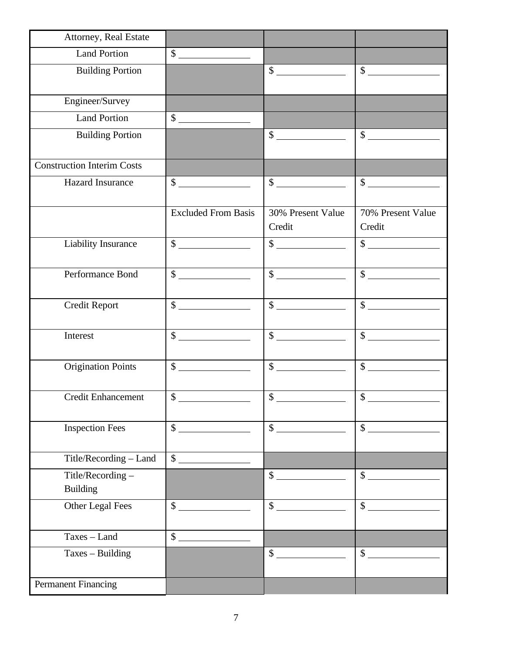| Attorney, Real Estate               |                             |                                                                               |                                         |
|-------------------------------------|-----------------------------|-------------------------------------------------------------------------------|-----------------------------------------|
| <b>Land Portion</b>                 | $\frac{\text{S}}{\text{S}}$ |                                                                               |                                         |
| <b>Building Portion</b>             |                             | $\frac{1}{2}$                                                                 | $\begin{array}{c c} \hline \end{array}$ |
| Engineer/Survey                     |                             |                                                                               |                                         |
| <b>Land Portion</b>                 | $\frac{\text{S}}{\text{S}}$ |                                                                               |                                         |
| <b>Building Portion</b>             |                             | $\begin{array}{c c} \hline \end{array}$ $\begin{array}{c} \hline \end{array}$ | $\overline{\text{S}}$                   |
| <b>Construction Interim Costs</b>   |                             |                                                                               |                                         |
| <b>Hazard Insurance</b>             | $\frac{\text{S}}{\text{S}}$ | $\overline{\text{S}}$                                                         | $\frac{1}{2}$                           |
|                                     | <b>Excluded From Basis</b>  | 30% Present Value<br>Credit                                                   | 70% Present Value<br>Credit             |
| Liability Insurance                 | $\frac{\sqrt{2}}{2}$        | $\frac{1}{2}$                                                                 | $\overline{\$}$                         |
| Performance Bond                    | $\frac{1}{\sqrt{2}}$        | $\sim$                                                                        | $\overline{\$}$                         |
| <b>Credit Report</b>                | $\frac{\text{S}}{\text{S}}$ | $\frac{1}{2}$                                                                 | $\overline{\$}$                         |
| Interest                            | $\frac{\text{S}}{\text{S}}$ | $\overline{\$}$                                                               | $\overline{\text{S}}$                   |
| <b>Origination Points</b>           | $\mathbb{S}$                | $\frac{\text{S}}{\text{S}}$                                                   | $\sim$                                  |
| <b>Credit Enhancement</b>           | $\mathcal{S}$               | $\mathcal{S}$                                                                 | $\mathcal{S}$                           |
| <b>Inspection Fees</b>              | $\overline{\$}$             | $\overline{\$}$                                                               | $\sim$                                  |
| Title/Recording - Land              |                             |                                                                               |                                         |
| Title/Recording-<br><b>Building</b> |                             | $\frac{1}{2}$                                                                 | $\frac{1}{2}$                           |
| Other Legal Fees                    | $\sim$                      | $\frac{\text{S}}{\text{S}}$                                                   | $\overline{\$}$                         |
| $Taxes - Land$                      | $\overline{\$}$             |                                                                               |                                         |
| Taxes - Building                    |                             | $\sim$                                                                        | $\sim$                                  |
| <b>Permanent Financing</b>          |                             |                                                                               |                                         |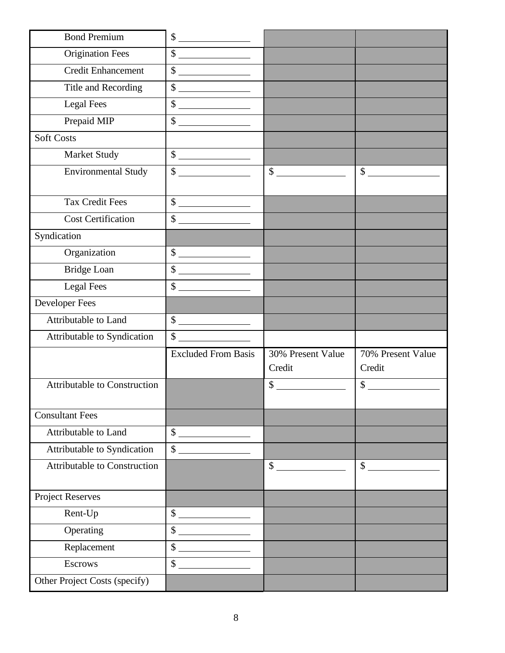| <b>Bond Premium</b>                 | $\begin{array}{c c} \hline \end{array}$                                                                                                                                                                                                                                                                                                       |                   |                   |
|-------------------------------------|-----------------------------------------------------------------------------------------------------------------------------------------------------------------------------------------------------------------------------------------------------------------------------------------------------------------------------------------------|-------------------|-------------------|
| <b>Origination Fees</b>             | $\overline{\$}$                                                                                                                                                                                                                                                                                                                               |                   |                   |
| <b>Credit Enhancement</b>           | $\frac{1}{2}$                                                                                                                                                                                                                                                                                                                                 |                   |                   |
| Title and Recording                 | $\begin{array}{c c} \hline \end{array}$                                                                                                                                                                                                                                                                                                       |                   |                   |
| <b>Legal Fees</b>                   | $\begin{array}{c c} \hline \end{array}$ $\begin{array}{c} \hline \end{array}$                                                                                                                                                                                                                                                                 |                   |                   |
| Prepaid MIP                         | $\overline{\text{S}}$                                                                                                                                                                                                                                                                                                                         |                   |                   |
| <b>Soft Costs</b>                   |                                                                                                                                                                                                                                                                                                                                               |                   |                   |
| Market Study                        | $\overline{\text{S}}$                                                                                                                                                                                                                                                                                                                         |                   |                   |
| <b>Environmental Study</b>          | $\frac{\text{S}}{\text{S}}$                                                                                                                                                                                                                                                                                                                   | $\sim$            | $\mathcal{S}$     |
| <b>Tax Credit Fees</b>              | $\overline{\text{S}}$                                                                                                                                                                                                                                                                                                                         |                   |                   |
| <b>Cost Certification</b>           | $\begin{array}{c c} \hline \end{array}$                                                                                                                                                                                                                                                                                                       |                   |                   |
| Syndication                         |                                                                                                                                                                                                                                                                                                                                               |                   |                   |
| Organization                        | $\frac{1}{\sqrt{2}}$                                                                                                                                                                                                                                                                                                                          |                   |                   |
| <b>Bridge Loan</b>                  | $\overline{\$}$                                                                                                                                                                                                                                                                                                                               |                   |                   |
| <b>Legal Fees</b>                   | $\int$                                                                                                                                                                                                                                                                                                                                        |                   |                   |
| Developer Fees                      |                                                                                                                                                                                                                                                                                                                                               |                   |                   |
| Attributable to Land                | $\begin{picture}(20,20) \put(0,0){\line(1,0){100}} \put(15,0){\line(1,0){100}} \put(15,0){\line(1,0){100}} \put(15,0){\line(1,0){100}} \put(15,0){\line(1,0){100}} \put(15,0){\line(1,0){100}} \put(15,0){\line(1,0){100}} \put(15,0){\line(1,0){100}} \put(15,0){\line(1,0){100}} \put(15,0){\line(1,0){100}} \put(15,0){\line(1,0){100}} \$ |                   |                   |
| Attributable to Syndication         | $\sim$                                                                                                                                                                                                                                                                                                                                        |                   |                   |
|                                     | <b>Excluded From Basis</b>                                                                                                                                                                                                                                                                                                                    | 30% Present Value | 70% Present Value |
|                                     |                                                                                                                                                                                                                                                                                                                                               | Credit            | Credit            |
| <b>Attributable to Construction</b> |                                                                                                                                                                                                                                                                                                                                               | \$                | \$                |
|                                     |                                                                                                                                                                                                                                                                                                                                               |                   |                   |
| <b>Consultant Fees</b>              |                                                                                                                                                                                                                                                                                                                                               |                   |                   |
| Attributable to Land                |                                                                                                                                                                                                                                                                                                                                               |                   |                   |
|                                     | $\sim$                                                                                                                                                                                                                                                                                                                                        |                   |                   |
| Attributable to Syndication         | $\mathcal{S}$                                                                                                                                                                                                                                                                                                                                 |                   |                   |
| <b>Attributable to Construction</b> |                                                                                                                                                                                                                                                                                                                                               | $\frac{1}{2}$     | $\mathbb{S}$      |
| <b>Project Reserves</b>             |                                                                                                                                                                                                                                                                                                                                               |                   |                   |
| Rent-Up                             |                                                                                                                                                                                                                                                                                                                                               |                   |                   |
| Operating                           | $\sim$<br>\$                                                                                                                                                                                                                                                                                                                                  |                   |                   |
| Replacement                         | $\mathbb{S}$                                                                                                                                                                                                                                                                                                                                  |                   |                   |
| <b>Escrows</b>                      | $\mathbb{S}$                                                                                                                                                                                                                                                                                                                                  |                   |                   |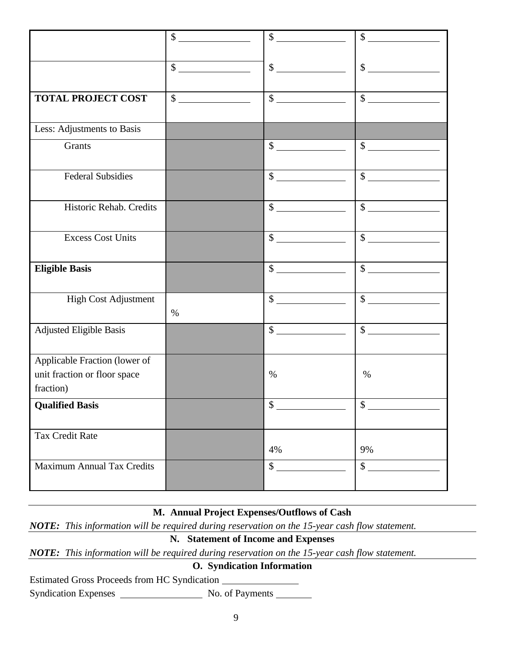|                                   | $\int$                                                                                                                                                                                                                                                                                                                                              | $\begin{picture}(20,20) \put(0,0){\line(1,0){10}} \put(15,0){\line(1,0){10}} \put(15,0){\line(1,0){10}} \put(15,0){\line(1,0){10}} \put(15,0){\line(1,0){10}} \put(15,0){\line(1,0){10}} \put(15,0){\line(1,0){10}} \put(15,0){\line(1,0){10}} \put(15,0){\line(1,0){10}} \put(15,0){\line(1,0){10}} \put(15,0){\line(1,0){10}} \put(15,0){\line(1$ | $\sim$                                                                                                                                                                                                                                                                                                                                              |
|-----------------------------------|-----------------------------------------------------------------------------------------------------------------------------------------------------------------------------------------------------------------------------------------------------------------------------------------------------------------------------------------------------|-----------------------------------------------------------------------------------------------------------------------------------------------------------------------------------------------------------------------------------------------------------------------------------------------------------------------------------------------------|-----------------------------------------------------------------------------------------------------------------------------------------------------------------------------------------------------------------------------------------------------------------------------------------------------------------------------------------------------|
|                                   |                                                                                                                                                                                                                                                                                                                                                     |                                                                                                                                                                                                                                                                                                                                                     |                                                                                                                                                                                                                                                                                                                                                     |
|                                   | $\frac{\text{S}}{\text{S}}$                                                                                                                                                                                                                                                                                                                         | $\frac{\sqrt{2}}{2}$                                                                                                                                                                                                                                                                                                                                | $\frac{1}{2}$                                                                                                                                                                                                                                                                                                                                       |
|                                   |                                                                                                                                                                                                                                                                                                                                                     |                                                                                                                                                                                                                                                                                                                                                     |                                                                                                                                                                                                                                                                                                                                                     |
| <b>TOTAL PROJECT COST</b>         | $\begin{picture}(20,20) \put(0,0){\line(1,0){10}} \put(15,0){\line(1,0){10}} \put(15,0){\line(1,0){10}} \put(15,0){\line(1,0){10}} \put(15,0){\line(1,0){10}} \put(15,0){\line(1,0){10}} \put(15,0){\line(1,0){10}} \put(15,0){\line(1,0){10}} \put(15,0){\line(1,0){10}} \put(15,0){\line(1,0){10}} \put(15,0){\line(1,0){10}} \put(15,0){\line(1$ | $\frac{\sqrt{2}}{2}$                                                                                                                                                                                                                                                                                                                                | $\frac{1}{2}$                                                                                                                                                                                                                                                                                                                                       |
|                                   |                                                                                                                                                                                                                                                                                                                                                     |                                                                                                                                                                                                                                                                                                                                                     |                                                                                                                                                                                                                                                                                                                                                     |
| Less: Adjustments to Basis        |                                                                                                                                                                                                                                                                                                                                                     |                                                                                                                                                                                                                                                                                                                                                     |                                                                                                                                                                                                                                                                                                                                                     |
| Grants                            |                                                                                                                                                                                                                                                                                                                                                     | $\begin{array}{c}\n\circ \\ \bullet \\ \hline\n\end{array}$                                                                                                                                                                                                                                                                                         | $\begin{picture}(20,20) \put(0,0){\line(1,0){100}} \put(15,0){\line(1,0){100}} \put(15,0){\line(1,0){100}} \put(15,0){\line(1,0){100}} \put(15,0){\line(1,0){100}} \put(15,0){\line(1,0){100}} \put(15,0){\line(1,0){100}} \put(15,0){\line(1,0){100}} \put(15,0){\line(1,0){100}} \put(15,0){\line(1,0){100}} \put(15,0){\line(1,0){100}} \$       |
|                                   |                                                                                                                                                                                                                                                                                                                                                     |                                                                                                                                                                                                                                                                                                                                                     |                                                                                                                                                                                                                                                                                                                                                     |
| <b>Federal Subsidies</b>          |                                                                                                                                                                                                                                                                                                                                                     | $\sim$                                                                                                                                                                                                                                                                                                                                              | $\begin{picture}(20,20) \put(0,0){\line(1,0){10}} \put(15,0){\line(1,0){10}} \put(15,0){\line(1,0){10}} \put(15,0){\line(1,0){10}} \put(15,0){\line(1,0){10}} \put(15,0){\line(1,0){10}} \put(15,0){\line(1,0){10}} \put(15,0){\line(1,0){10}} \put(15,0){\line(1,0){10}} \put(15,0){\line(1,0){10}} \put(15,0){\line(1,0){10}} \put(15,0){\line(1$ |
|                                   |                                                                                                                                                                                                                                                                                                                                                     |                                                                                                                                                                                                                                                                                                                                                     |                                                                                                                                                                                                                                                                                                                                                     |
| Historic Rehab. Credits           |                                                                                                                                                                                                                                                                                                                                                     | $\frac{\sqrt{2}}{2}$                                                                                                                                                                                                                                                                                                                                | $\overline{\text{S}}$                                                                                                                                                                                                                                                                                                                               |
|                                   |                                                                                                                                                                                                                                                                                                                                                     |                                                                                                                                                                                                                                                                                                                                                     |                                                                                                                                                                                                                                                                                                                                                     |
| <b>Excess Cost Units</b>          |                                                                                                                                                                                                                                                                                                                                                     | $\frac{\text{S}}{\text{S}}$                                                                                                                                                                                                                                                                                                                         | $\sim$                                                                                                                                                                                                                                                                                                                                              |
|                                   |                                                                                                                                                                                                                                                                                                                                                     |                                                                                                                                                                                                                                                                                                                                                     |                                                                                                                                                                                                                                                                                                                                                     |
| <b>Eligible Basis</b>             |                                                                                                                                                                                                                                                                                                                                                     | $\frac{\text{S}}{\text{S}}$                                                                                                                                                                                                                                                                                                                         | $\frac{1}{2}$                                                                                                                                                                                                                                                                                                                                       |
|                                   |                                                                                                                                                                                                                                                                                                                                                     |                                                                                                                                                                                                                                                                                                                                                     |                                                                                                                                                                                                                                                                                                                                                     |
| High Cost Adjustment              |                                                                                                                                                                                                                                                                                                                                                     | $\sim$                                                                                                                                                                                                                                                                                                                                              | $\sim$                                                                                                                                                                                                                                                                                                                                              |
|                                   | $\%$                                                                                                                                                                                                                                                                                                                                                |                                                                                                                                                                                                                                                                                                                                                     |                                                                                                                                                                                                                                                                                                                                                     |
| <b>Adjusted Eligible Basis</b>    |                                                                                                                                                                                                                                                                                                                                                     | $\sim$                                                                                                                                                                                                                                                                                                                                              | $\overline{\text{S}}$                                                                                                                                                                                                                                                                                                                               |
|                                   |                                                                                                                                                                                                                                                                                                                                                     |                                                                                                                                                                                                                                                                                                                                                     |                                                                                                                                                                                                                                                                                                                                                     |
| Applicable Fraction (lower of     |                                                                                                                                                                                                                                                                                                                                                     |                                                                                                                                                                                                                                                                                                                                                     |                                                                                                                                                                                                                                                                                                                                                     |
| unit fraction or floor space      |                                                                                                                                                                                                                                                                                                                                                     | $\%$                                                                                                                                                                                                                                                                                                                                                | $\%$                                                                                                                                                                                                                                                                                                                                                |
| fraction)                         |                                                                                                                                                                                                                                                                                                                                                     |                                                                                                                                                                                                                                                                                                                                                     |                                                                                                                                                                                                                                                                                                                                                     |
| <b>Qualified Basis</b>            |                                                                                                                                                                                                                                                                                                                                                     | \$                                                                                                                                                                                                                                                                                                                                                  | \$                                                                                                                                                                                                                                                                                                                                                  |
|                                   |                                                                                                                                                                                                                                                                                                                                                     |                                                                                                                                                                                                                                                                                                                                                     |                                                                                                                                                                                                                                                                                                                                                     |
| <b>Tax Credit Rate</b>            |                                                                                                                                                                                                                                                                                                                                                     |                                                                                                                                                                                                                                                                                                                                                     |                                                                                                                                                                                                                                                                                                                                                     |
|                                   |                                                                                                                                                                                                                                                                                                                                                     | 4%                                                                                                                                                                                                                                                                                                                                                  | 9%                                                                                                                                                                                                                                                                                                                                                  |
| <b>Maximum Annual Tax Credits</b> |                                                                                                                                                                                                                                                                                                                                                     | $\sim$                                                                                                                                                                                                                                                                                                                                              | $\overline{\text{S}}$                                                                                                                                                                                                                                                                                                                               |
|                                   |                                                                                                                                                                                                                                                                                                                                                     |                                                                                                                                                                                                                                                                                                                                                     |                                                                                                                                                                                                                                                                                                                                                     |

## **M. Annual Project Expenses/Outflows of Cash**

*NOTE: This information will be required during reservation on the 15-year cash flow statement.*

## **N. Statement of Income and Expenses**

*NOTE: This information will be required during reservation on the 15-year cash flow statement.*

#### **O. Syndication Information**

Estimated Gross Proceeds from HC Syndication

Syndication Expenses No. of Payments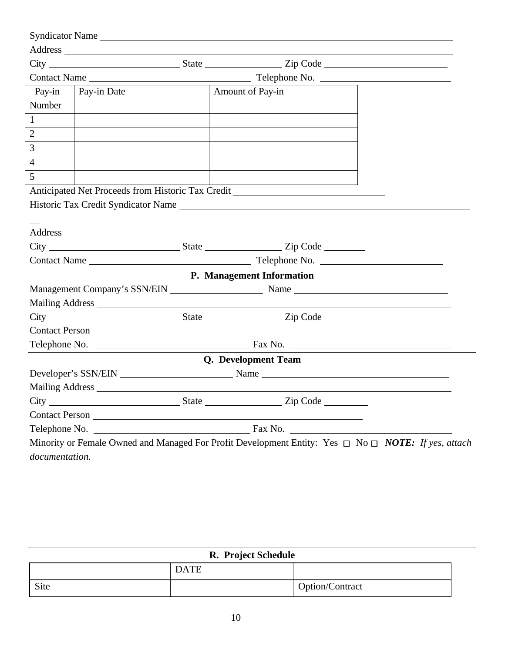|                | Syndicator Name |                                                                                                                                                                                                                                      |  |
|----------------|-----------------|--------------------------------------------------------------------------------------------------------------------------------------------------------------------------------------------------------------------------------------|--|
|                |                 |                                                                                                                                                                                                                                      |  |
|                |                 |                                                                                                                                                                                                                                      |  |
|                |                 |                                                                                                                                                                                                                                      |  |
| Pay-in         | Pay-in Date     | Amount of Pay-in                                                                                                                                                                                                                     |  |
| Number         |                 |                                                                                                                                                                                                                                      |  |
| $\mathbf{1}$   |                 |                                                                                                                                                                                                                                      |  |
| $\overline{2}$ |                 |                                                                                                                                                                                                                                      |  |
| $\mathfrak{Z}$ |                 |                                                                                                                                                                                                                                      |  |
| $\overline{4}$ |                 |                                                                                                                                                                                                                                      |  |
| 5              |                 |                                                                                                                                                                                                                                      |  |
|                |                 | Anticipated Net Proceeds from Historic Tax Credit _______________________________                                                                                                                                                    |  |
|                |                 |                                                                                                                                                                                                                                      |  |
|                |                 |                                                                                                                                                                                                                                      |  |
|                |                 |                                                                                                                                                                                                                                      |  |
|                |                 | City City City Code City Code                                                                                                                                                                                                        |  |
|                |                 |                                                                                                                                                                                                                                      |  |
|                |                 | P. Management Information                                                                                                                                                                                                            |  |
|                |                 |                                                                                                                                                                                                                                      |  |
|                |                 | Mailing Address <u>and a substitution of the set of the set of the set of the set of the set of the set of the set of the set of the set of the set of the set of the set of the set of the set of the set of the set of the set</u> |  |
|                |                 |                                                                                                                                                                                                                                      |  |
|                |                 |                                                                                                                                                                                                                                      |  |
|                |                 |                                                                                                                                                                                                                                      |  |
|                |                 | Q. Development Team                                                                                                                                                                                                                  |  |
|                |                 |                                                                                                                                                                                                                                      |  |
|                |                 | Mailing Address National Address                                                                                                                                                                                                     |  |
|                |                 | City City City Code City Contact City Code City Code City Code City Code City Code City Code City Code City Code                                                                                                                     |  |
|                |                 |                                                                                                                                                                                                                                      |  |
|                |                 |                                                                                                                                                                                                                                      |  |
|                |                 | Minority or Female Owned and Managed For Profit Development Entity: Yes $\Box$ No $\Box$ NOTE: If yes, attach                                                                                                                        |  |
| documentation. |                 |                                                                                                                                                                                                                                      |  |

| R. Project Schedule |             |                 |
|---------------------|-------------|-----------------|
|                     | <b>DATE</b> |                 |
| Site                |             | Option/Contract |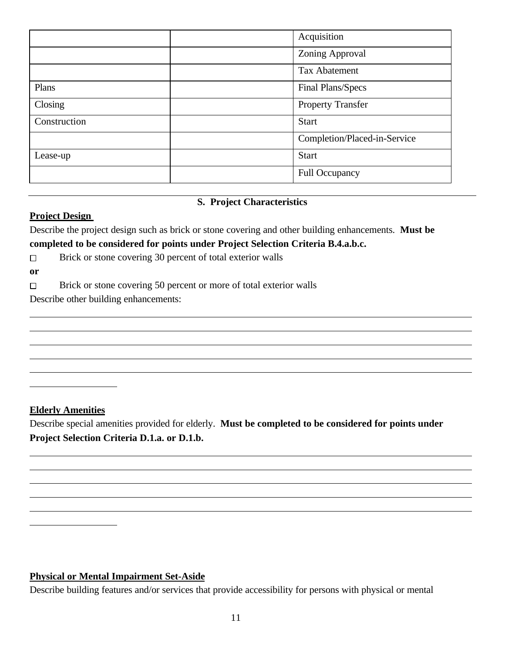|              | Acquisition                  |
|--------------|------------------------------|
|              | <b>Zoning Approval</b>       |
|              | <b>Tax Abatement</b>         |
| Plans        | Final Plans/Specs            |
| Closing      | <b>Property Transfer</b>     |
| Construction | <b>Start</b>                 |
|              | Completion/Placed-in-Service |
| Lease-up     | <b>Start</b>                 |
|              | <b>Full Occupancy</b>        |

### **S. Project Characteristics**

#### **Project Design**

Describe the project design such as brick or stone covering and other building enhancements. **Must be completed to be considered for points under Project Selection Criteria B.4.a.b.c.**

 $\Box$ Brick or stone covering 30 percent of total exterior walls

**or**

 $\overline{a}$ 

l

 $\overline{a}$  $\overline{a}$ 

 $\overline{a}$ 

 $\Box$ Brick or stone covering 50 percent or more of total exterior walls

Describe other building enhancements:

### **Elderly Amenities**

Describe special amenities provided for elderly. **Must be completed to be considered for points under Project Selection Criteria D.1.a. or D.1.b.** 

### **Physical or Mental Impairment Set-Aside**

Describe building features and/or services that provide accessibility for persons with physical or mental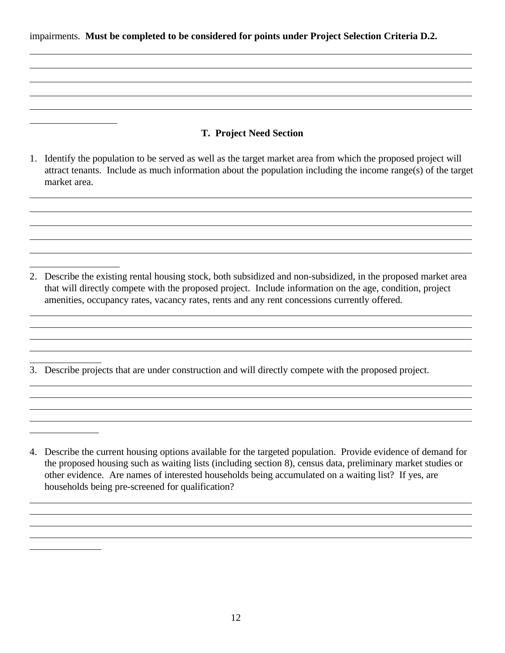impairments. **Must be completed to be considered for points under Project Selection Criteria D.2.**

 $\overline{a}$  $\overline{a}$ 

 $\overline{a}$ 

 $\overline{a}$  $\overline{a}$ 

 $\overline{a}$ 

 $\overline{a}$  $\overline{a}$ 

 $\overline{a}$ 

 $\overline{a}$  $\overline{a}$ 

 $\overline{a}$ 

 $\overline{a}$  $\overline{a}$ 

 $\overline{a}$ 

### **T. Project Need Section**

1. Identify the population to be served as well as the target market area from which the proposed project will attract tenants. Include as much information about the population including the income range(s) of the target market area.

- 2. Describe the existing rental housing stock, both subsidized and non-subsidized, in the proposed market area that will directly compete with the proposed project. Include information on the age, condition, project amenities, occupancy rates, vacancy rates, rents and any rent concessions currently offered.
- 3. Describe projects that are under construction and will directly compete with the proposed project.

<sup>4.</sup> Describe the current housing options available for the targeted population. Provide evidence of demand for the proposed housing such as waiting lists (including section 8), census data, preliminary market studies or other evidence. Are names of interested households being accumulated on a waiting list? If yes, are households being pre-screened for qualification?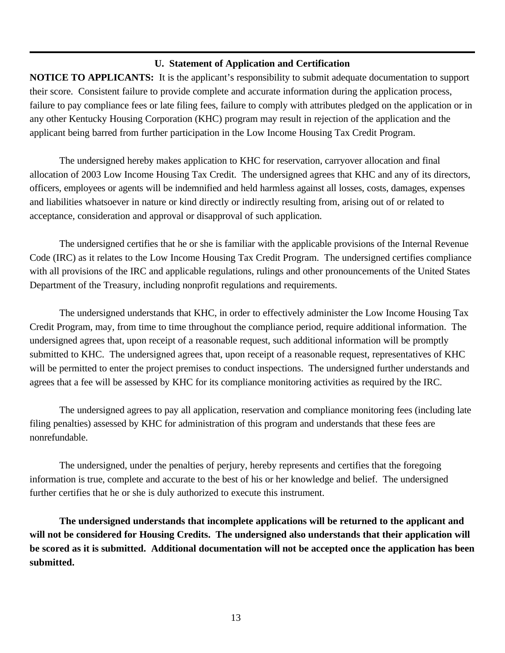#### **U. Statement of Application and Certification**

**NOTICE TO APPLICANTS:** It is the applicant's responsibility to submit adequate documentation to support their score. Consistent failure to provide complete and accurate information during the application process, failure to pay compliance fees or late filing fees, failure to comply with attributes pledged on the application or in any other Kentucky Housing Corporation (KHC) program may result in rejection of the application and the applicant being barred from further participation in the Low Income Housing Tax Credit Program.

The undersigned hereby makes application to KHC for reservation, carryover allocation and final allocation of 2003 Low Income Housing Tax Credit. The undersigned agrees that KHC and any of its directors, officers, employees or agents will be indemnified and held harmless against all losses, costs, damages, expenses and liabilities whatsoever in nature or kind directly or indirectly resulting from, arising out of or related to acceptance, consideration and approval or disapproval of such application.

The undersigned certifies that he or she is familiar with the applicable provisions of the Internal Revenue Code (IRC) as it relates to the Low Income Housing Tax Credit Program. The undersigned certifies compliance with all provisions of the IRC and applicable regulations, rulings and other pronouncements of the United States Department of the Treasury, including nonprofit regulations and requirements.

The undersigned understands that KHC, in order to effectively administer the Low Income Housing Tax Credit Program, may, from time to time throughout the compliance period, require additional information. The undersigned agrees that, upon receipt of a reasonable request, such additional information will be promptly submitted to KHC. The undersigned agrees that, upon receipt of a reasonable request, representatives of KHC will be permitted to enter the project premises to conduct inspections. The undersigned further understands and agrees that a fee will be assessed by KHC for its compliance monitoring activities as required by the IRC.

The undersigned agrees to pay all application, reservation and compliance monitoring fees (including late filing penalties) assessed by KHC for administration of this program and understands that these fees are nonrefundable.

The undersigned, under the penalties of perjury, hereby represents and certifies that the foregoing information is true, complete and accurate to the best of his or her knowledge and belief. The undersigned further certifies that he or she is duly authorized to execute this instrument.

**The undersigned understands that incomplete applications will be returned to the applicant and will not be considered for Housing Credits. The undersigned also understands that their application will be scored as it is submitted. Additional documentation will not be accepted once the application has been submitted.**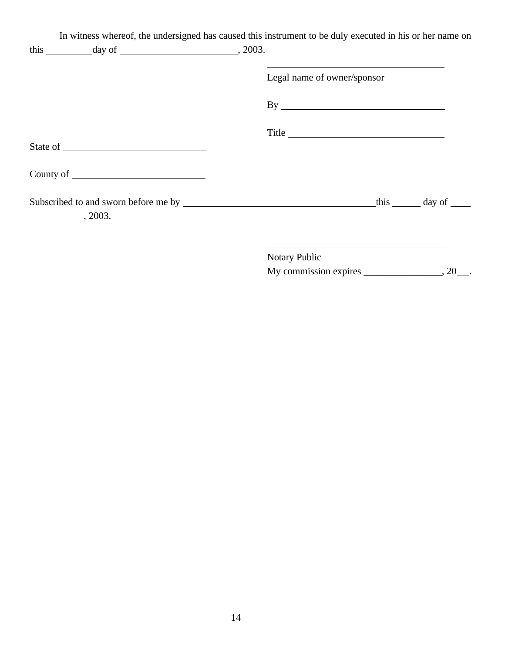| this $\_\_\_\_\_$ day of $\_\_\_\_\_\_\_$ , 2003. | In witness whereof, the undersigned has caused this instrument to be duly executed in his or her name on                                                                                                                                       |  |
|---------------------------------------------------|------------------------------------------------------------------------------------------------------------------------------------------------------------------------------------------------------------------------------------------------|--|
|                                                   | Legal name of owner/sponsor                                                                                                                                                                                                                    |  |
|                                                   |                                                                                                                                                                                                                                                |  |
|                                                   | Title                                                                                                                                                                                                                                          |  |
|                                                   |                                                                                                                                                                                                                                                |  |
|                                                   |                                                                                                                                                                                                                                                |  |
| $\sim$ , 2003.                                    |                                                                                                                                                                                                                                                |  |
|                                                   | the control of the control of the control of the control of the control of the control of the control of the control of the control of the control of the control of the control of the control of the control of the control<br>Notary Public |  |
|                                                   |                                                                                                                                                                                                                                                |  |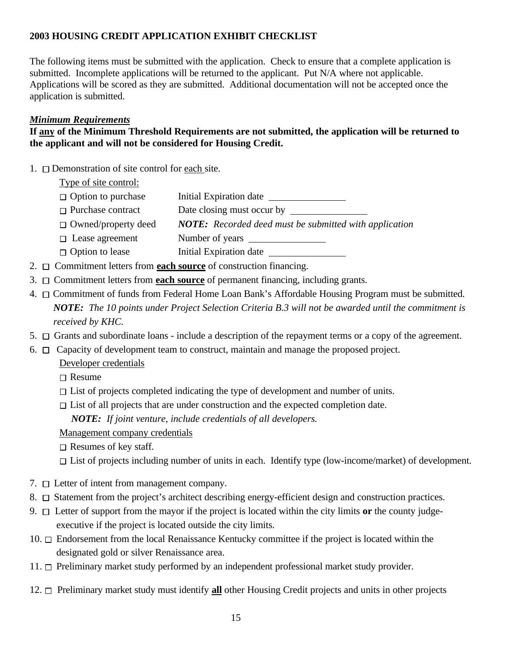## **2003 HOUSING CREDIT APPLICATION EXHIBIT CHECKLIST**

The following items must be submitted with the application. Check to ensure that a complete application is submitted. Incomplete applications will be returned to the applicant. Put N/A where not applicable. Applications will be scored as they are submitted. Additional documentation will not be accepted once the application is submitted.

## *Minimum Requirements*

### **If any of the Minimum Threshold Requirements are not submitted, the application will be returned to the applicant and will not be considered for Housing Credit.**

1.  $\Box$  Demonstration of site control for each site.

## Type of site control:

- $\Box$  Option to purchase Initial Expiration date
- □ Purchase contract Date closing must occur by
- Owned/property deed *NOTE: Recorded deed must be submitted with application*
- Lease agreement Number of years
- $\Box$  Option to lease Initial Expiration date
- 2. Commitment letters from **each source** of construction financing.
- 3. Commitment letters from **each source** of permanent financing, including grants.
- 4.  $\Box$  Commitment of funds from Federal Home Loan Bank's Affordable Housing Program must be submitted. *NOTE: The 10 points under Project Selection Criteria B.3 will not be awarded until the commitment is received by KHC.*
- 5.  $\Box$  Grants and subordinate loans include a description of the repayment terms or a copy of the agreement.
- 6.  $\Box$  Capacity of development team to construct, maintain and manage the proposed project.

## Developer credentials

- $\Box$  Resume
- $\Box$  List of projects completed indicating the type of development and number of units.
- $\Box$  List of all projects that are under construction and the expected completion date.

*NOTE: If joint venture, include credentials of all developers.*

## Management company credentials

- $\Box$  Resumes of key staff.
- $\Box$  List of projects including number of units in each. Identify type (low-income/market) of development.
- 7.  $\Box$  Letter of intent from management company.
- 8.  $\Box$  Statement from the project's architect describing energy-efficient design and construction practices.
- 9. Letter of support from the mayor if the project is located within the city limits **or** the county judgeexecutive if the project is located outside the city limits.
- 10. Endorsement from the local Renaissance Kentucky committee if the project is located within the designated gold or silver Renaissance area.
- 11.  $\Box$  Preliminary market study performed by an independent professional market study provider.
- 12. Preliminary market study must identify **all** other Housing Credit projects and units in other projects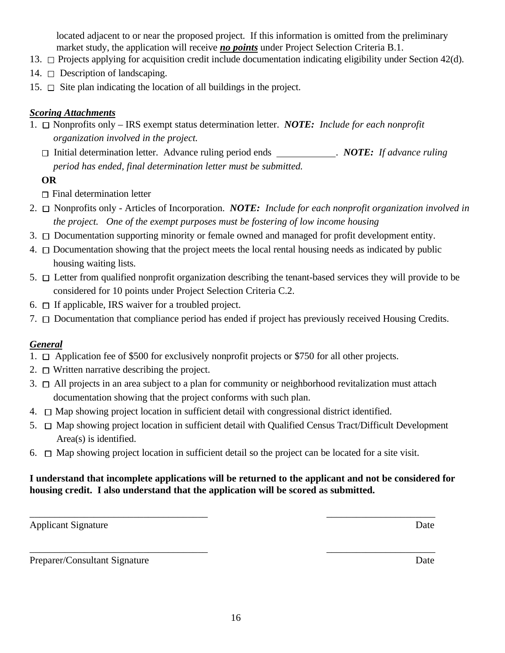located adjacent to or near the proposed project. If this information is omitted from the preliminary market study, the application will receive *no points* under Project Selection Criteria B.1.

- 13.  $\Box$  Projects applying for acquisition credit include documentation indicating eligibility under Section 42(d).
- 14.  $\Box$  Description of landscaping.
- 15.  $\Box$  Site plan indicating the location of all buildings in the project.

### *Scoring Attachments*

- 1. Nonprofits only IRS exempt status determination letter. *NOTE: Include for each nonprofit organization involved in the project.* 
	- □ Initial determination letter. Advance ruling period ends NOTE: *If advance ruling period has ended, final determination letter must be submitted.*

### **OR**

- $\Box$  Final determination letter
- 2. Nonprofits only Articles of Incorporation. *NOTE: Include for each nonprofit organization involved in the project. One of the exempt purposes must be fostering of low income housing*
- 3.  $\Box$  Documentation supporting minority or female owned and managed for profit development entity.
- 4.  $\Box$  Documentation showing that the project meets the local rental housing needs as indicated by public housing waiting lists.
- 5.  $\Box$  Letter from qualified nonprofit organization describing the tenant-based services they will provide to be considered for 10 points under Project Selection Criteria C.2.
- 6.  $\Box$  If applicable, IRS waiver for a troubled project.
- 7. Documentation that compliance period has ended if project has previously received Housing Credits.

### *General*

- 1.  $\Box$  Application fee of \$500 for exclusively nonprofit projects or \$750 for all other projects.
- 2.  $\Box$  Written narrative describing the project.
- 3.  $\Box$  All projects in an area subject to a plan for community or neighborhood revitalization must attach documentation showing that the project conforms with such plan.
- $4. \Box$  Map showing project location in sufficient detail with congressional district identified.
- 5.  $\Box$  Map showing project location in sufficient detail with Qualified Census Tract/Difficult Development Area(s) is identified.
- 6.  $\Box$  Map showing project location in sufficient detail so the project can be located for a site visit.

### **I understand that incomplete applications will be returned to the applicant and not be considered for housing credit. I also understand that the application will be scored as submitted.**

 $\overline{\phantom{a}}$  , and the contract of the contract of the contract of the contract of the contract of the contract of the contract of the contract of the contract of the contract of the contract of the contract of the contrac

 $\overline{\phantom{a}}$  , and the contract of the contract of the contract of the contract of the contract of the contract of the contract of the contract of the contract of the contract of the contract of the contract of the contrac

Applicant Signature Date

Preparer/Consultant Signature Date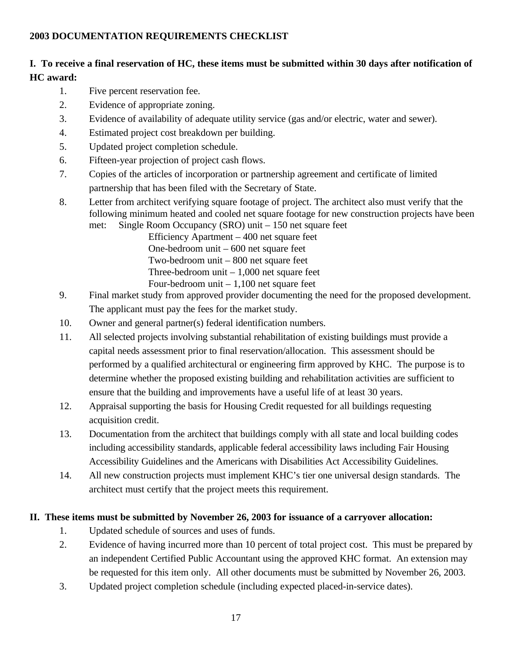## **2003 DOCUMENTATION REQUIREMENTS CHECKLIST**

## **I. To receive a final reservation of HC, these items must be submitted within 30 days after notification of HC award:**

- 1. Five percent reservation fee.
- 2. Evidence of appropriate zoning.
- 3. Evidence of availability of adequate utility service (gas and/or electric, water and sewer).
- 4. Estimated project cost breakdown per building.
- 5. Updated project completion schedule.
- 6. Fifteen-year projection of project cash flows.
- 7. Copies of the articles of incorporation or partnership agreement and certificate of limited partnership that has been filed with the Secretary of State.
- 8. Letter from architect verifying square footage of project. The architect also must verify that the following minimum heated and cooled net square footage for new construction projects have been

met: Single Room Occupancy (SRO) unit – 150 net square feet Efficiency Apartment – 400 net square feet One-bedroom unit – 600 net square feet Two-bedroom unit – 800 net square feet Three-bedroom unit  $-1,000$  net square feet Four-bedroom unit – 1,100 net square feet

- 9. Final market study from approved provider documenting the need for the proposed development. The applicant must pay the fees for the market study.
- 10. Owner and general partner(s) federal identification numbers.
- 11. All selected projects involving substantial rehabilitation of existing buildings must provide a capital needs assessment prior to final reservation/allocation. This assessment should be performed by a qualified architectural or engineering firm approved by KHC. The purpose is to determine whether the proposed existing building and rehabilitation activities are sufficient to ensure that the building and improvements have a useful life of at least 30 years.
- 12. Appraisal supporting the basis for Housing Credit requested for all buildings requesting acquisition credit.
- 13. Documentation from the architect that buildings comply with all state and local building codes including accessibility standards, applicable federal accessibility laws including Fair Housing Accessibility Guidelines and the Americans with Disabilities Act Accessibility Guidelines.
- 14. All new construction projects must implement KHC's tier one universal design standards. The architect must certify that the project meets this requirement.

### **II. These items must be submitted by November 26, 2003 for issuance of a carryover allocation:**

- 1. Updated schedule of sources and uses of funds.
- 2. Evidence of having incurred more than 10 percent of total project cost. This must be prepared by an independent Certified Public Accountant using the approved KHC format. An extension may be requested for this item only. All other documents must be submitted by November 26, 2003.
- 3. Updated project completion schedule (including expected placed-in-service dates).